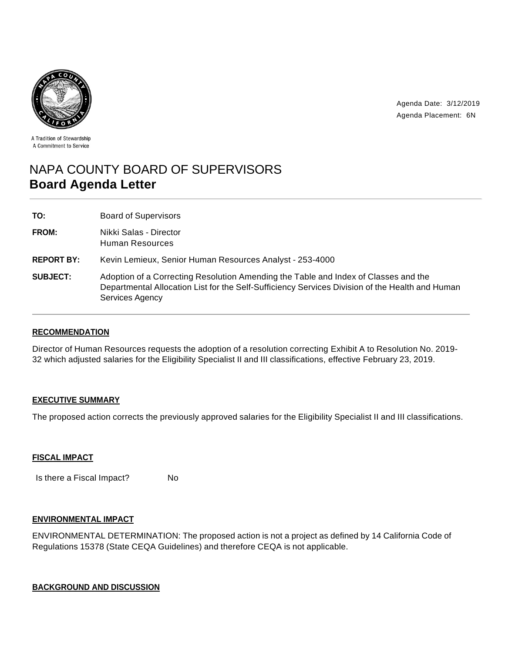



A Tradition of Stewardship A Commitment to Service

# NAPA COUNTY BOARD OF SUPERVISORS **Board Agenda Letter**

**TO:** Board of Supervisors

**FROM:** Nikki Salas - Director Human Resources

**REPORT BY:** Kevin Lemieux, Senior Human Resources Analyst - 253-4000

**SUBJECT:** Adoption of a Correcting Resolution Amending the Table and Index of Classes and the Departmental Allocation List for the Self-Sufficiency Services Division of the Health and Human Services Agency

## **RECOMMENDATION**

Director of Human Resources requests the adoption of a resolution correcting Exhibit A to Resolution No. 2019- 32 which adjusted salaries for the Eligibility Specialist II and III classifications, effective February 23, 2019.

## **EXECUTIVE SUMMARY**

The proposed action corrects the previously approved salaries for the Eligibility Specialist II and III classifications.

## **FISCAL IMPACT**

Is there a Fiscal Impact? No

## **ENVIRONMENTAL IMPACT**

ENVIRONMENTAL DETERMINATION: The proposed action is not a project as defined by 14 California Code of Regulations 15378 (State CEQA Guidelines) and therefore CEQA is not applicable.

## **BACKGROUND AND DISCUSSION**